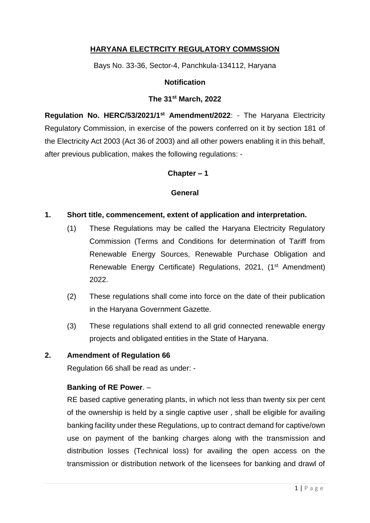# **HARYANA ELECTRCITY REGULATORY COMMSSION**

Bays No. 33-36, Sector-4, Panchkula-134112, Haryana

## **Notification**

#### **The 31 st March, 2022**

**Regulation No. HERC/53/2021/1st Amendment/2022**: - The Haryana Electricity Regulatory Commission, in exercise of the powers conferred on it by section 181 of the Electricity Act 2003 (Act 36 of 2003) and all other powers enabling it in this behalf, after previous publication, makes the following regulations: -

## **Chapter – 1**

## **General**

#### **1. Short title, commencement, extent of application and interpretation.**

- (1) These Regulations may be called the Haryana Electricity Regulatory Commission (Terms and Conditions for determination of Tariff from Renewable Energy Sources, Renewable Purchase Obligation and Renewable Energy Certificate) Regulations, 2021, (1<sup>st</sup> Amendment) 2022.
- (2) These regulations shall come into force on the date of their publication in the Haryana Government Gazette.
- (3) These regulations shall extend to all grid connected renewable energy projects and obligated entities in the State of Haryana.

## **2. Amendment of Regulation 66**

Regulation 66 shall be read as under: -

## **Banking of RE Power**. –

RE based captive generating plants, in which not less than twenty six per cent of the ownership is held by a single captive user , shall be eligible for availing banking facility under these Regulations, up to contract demand for captive/own use on payment of the banking charges along with the transmission and distribution losses (Technical loss) for availing the open access on the transmission or distribution network of the licensees for banking and drawl of